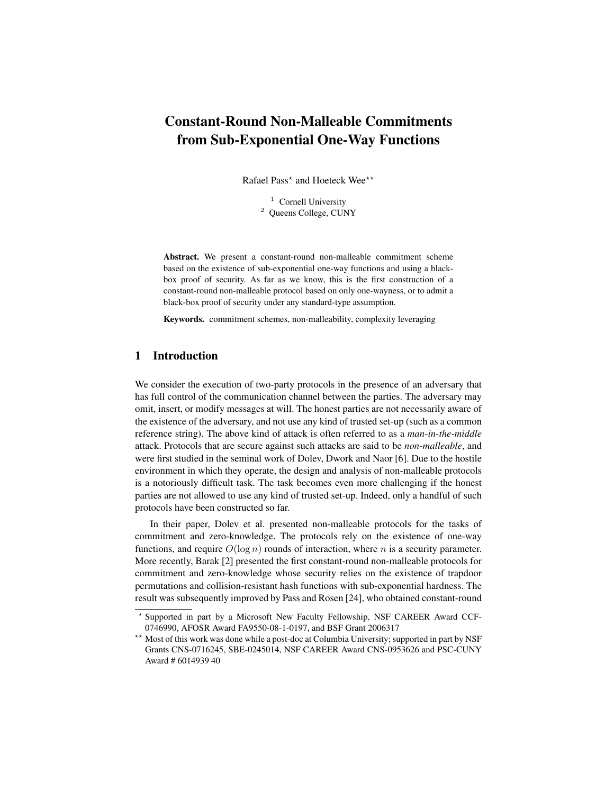# Constant-Round Non-Malleable Commitments from Sub-Exponential One-Way Functions

Rafael Pass<sup>\*</sup> and Hoeteck Wee<sup>\*\*</sup>

<sup>1</sup> Cornell University <sup>2</sup> Queens College, CUNY

Abstract. We present a constant-round non-malleable commitment scheme based on the existence of sub-exponential one-way functions and using a blackbox proof of security. As far as we know, this is the first construction of a constant-round non-malleable protocol based on only one-wayness, or to admit a black-box proof of security under any standard-type assumption.

Keywords. commitment schemes, non-malleability, complexity leveraging

## 1 Introduction

We consider the execution of two-party protocols in the presence of an adversary that has full control of the communication channel between the parties. The adversary may omit, insert, or modify messages at will. The honest parties are not necessarily aware of the existence of the adversary, and not use any kind of trusted set-up (such as a common reference string). The above kind of attack is often referred to as a *man-in-the-middle* attack. Protocols that are secure against such attacks are said to be *non-malleable*, and were first studied in the seminal work of Dolev, Dwork and Naor [6]. Due to the hostile environment in which they operate, the design and analysis of non-malleable protocols is a notoriously difficult task. The task becomes even more challenging if the honest parties are not allowed to use any kind of trusted set-up. Indeed, only a handful of such protocols have been constructed so far.

In their paper, Dolev et al. presented non-malleable protocols for the tasks of commitment and zero-knowledge. The protocols rely on the existence of one-way functions, and require  $O(\log n)$  rounds of interaction, where n is a security parameter. More recently, Barak [2] presented the first constant-round non-malleable protocols for commitment and zero-knowledge whose security relies on the existence of trapdoor permutations and collision-resistant hash functions with sub-exponential hardness. The result was subsequently improved by Pass and Rosen [24], who obtained constant-round

<sup>?</sup> Supported in part by a Microsoft New Faculty Fellowship, NSF CAREER Award CCF-0746990, AFOSR Award FA9550-08-1-0197, and BSF Grant 2006317

<sup>\*\*</sup> Most of this work was done while a post-doc at Columbia University; supported in part by NSF Grants CNS-0716245, SBE-0245014, NSF CAREER Award CNS-0953626 and PSC-CUNY Award # 6014939 40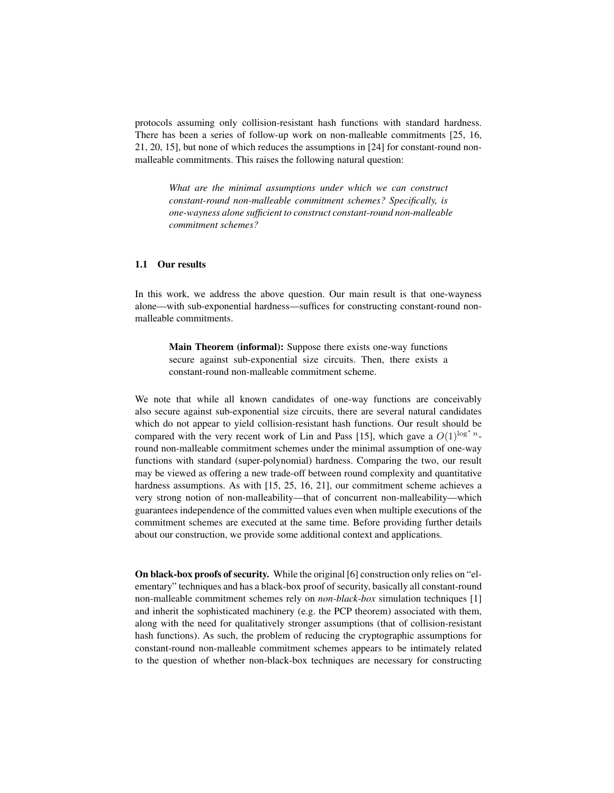protocols assuming only collision-resistant hash functions with standard hardness. There has been a series of follow-up work on non-malleable commitments [25, 16, 21, 20, 15], but none of which reduces the assumptions in [24] for constant-round nonmalleable commitments. This raises the following natural question:

*What are the minimal assumptions under which we can construct constant-round non-malleable commitment schemes? Specifically, is one-wayness alone sufficient to construct constant-round non-malleable commitment schemes?*

## 1.1 Our results

In this work, we address the above question. Our main result is that one-wayness alone—with sub-exponential hardness—suffices for constructing constant-round nonmalleable commitments.

Main Theorem (informal): Suppose there exists one-way functions secure against sub-exponential size circuits. Then, there exists a constant-round non-malleable commitment scheme.

We note that while all known candidates of one-way functions are conceivably also secure against sub-exponential size circuits, there are several natural candidates which do not appear to yield collision-resistant hash functions. Our result should be compared with the very recent work of Lin and Pass [15], which gave a  $O(1)^{\log^* n}$ round non-malleable commitment schemes under the minimal assumption of one-way functions with standard (super-polynomial) hardness. Comparing the two, our result may be viewed as offering a new trade-off between round complexity and quantitative hardness assumptions. As with [15, 25, 16, 21], our commitment scheme achieves a very strong notion of non-malleability—that of concurrent non-malleability—which guarantees independence of the committed values even when multiple executions of the commitment schemes are executed at the same time. Before providing further details about our construction, we provide some additional context and applications.

On black-box proofs of security. While the original [6] construction only relies on "elementary" techniques and has a black-box proof of security, basically all constant-round non-malleable commitment schemes rely on *non-black-box* simulation techniques [1] and inherit the sophisticated machinery (e.g. the PCP theorem) associated with them, along with the need for qualitatively stronger assumptions (that of collision-resistant hash functions). As such, the problem of reducing the cryptographic assumptions for constant-round non-malleable commitment schemes appears to be intimately related to the question of whether non-black-box techniques are necessary for constructing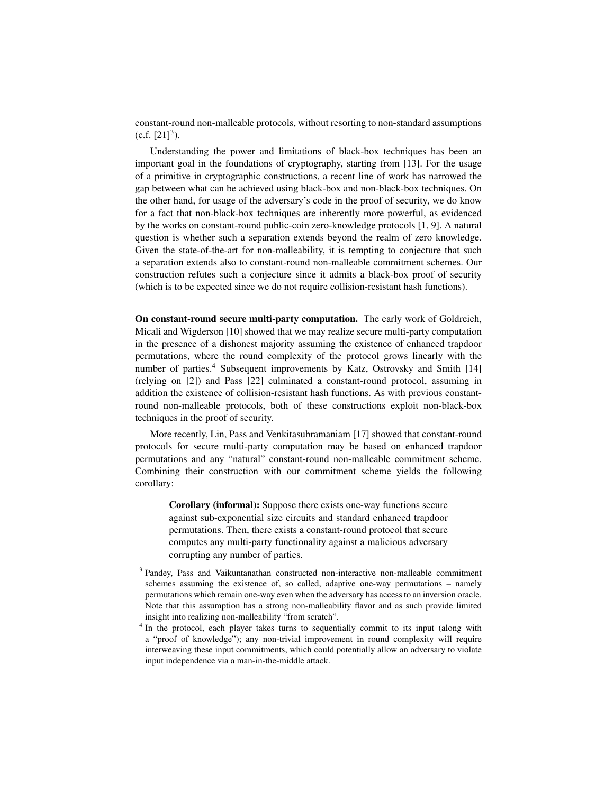constant-round non-malleable protocols, without resorting to non-standard assumptions  $(c.f. [21]<sup>3</sup>).$ 

Understanding the power and limitations of black-box techniques has been an important goal in the foundations of cryptography, starting from [13]. For the usage of a primitive in cryptographic constructions, a recent line of work has narrowed the gap between what can be achieved using black-box and non-black-box techniques. On the other hand, for usage of the adversary's code in the proof of security, we do know for a fact that non-black-box techniques are inherently more powerful, as evidenced by the works on constant-round public-coin zero-knowledge protocols [1, 9]. A natural question is whether such a separation extends beyond the realm of zero knowledge. Given the state-of-the-art for non-malleability, it is tempting to conjecture that such a separation extends also to constant-round non-malleable commitment schemes. Our construction refutes such a conjecture since it admits a black-box proof of security (which is to be expected since we do not require collision-resistant hash functions).

On constant-round secure multi-party computation. The early work of Goldreich, Micali and Wigderson [10] showed that we may realize secure multi-party computation in the presence of a dishonest majority assuming the existence of enhanced trapdoor permutations, where the round complexity of the protocol grows linearly with the number of parties.<sup>4</sup> Subsequent improvements by Katz, Ostrovsky and Smith [14] (relying on [2]) and Pass [22] culminated a constant-round protocol, assuming in addition the existence of collision-resistant hash functions. As with previous constantround non-malleable protocols, both of these constructions exploit non-black-box techniques in the proof of security.

More recently, Lin, Pass and Venkitasubramaniam [17] showed that constant-round protocols for secure multi-party computation may be based on enhanced trapdoor permutations and any "natural" constant-round non-malleable commitment scheme. Combining their construction with our commitment scheme yields the following corollary:

Corollary (informal): Suppose there exists one-way functions secure against sub-exponential size circuits and standard enhanced trapdoor permutations. Then, there exists a constant-round protocol that secure computes any multi-party functionality against a malicious adversary corrupting any number of parties.

<sup>&</sup>lt;sup>3</sup> Pandey, Pass and Vaikuntanathan constructed non-interactive non-malleable commitment schemes assuming the existence of, so called, adaptive one-way permutations – namely permutations which remain one-way even when the adversary has access to an inversion oracle. Note that this assumption has a strong non-malleability flavor and as such provide limited insight into realizing non-malleability "from scratch".

<sup>&</sup>lt;sup>4</sup> In the protocol, each player takes turns to sequentially commit to its input (along with a "proof of knowledge"); any non-trivial improvement in round complexity will require interweaving these input commitments, which could potentially allow an adversary to violate input independence via a man-in-the-middle attack.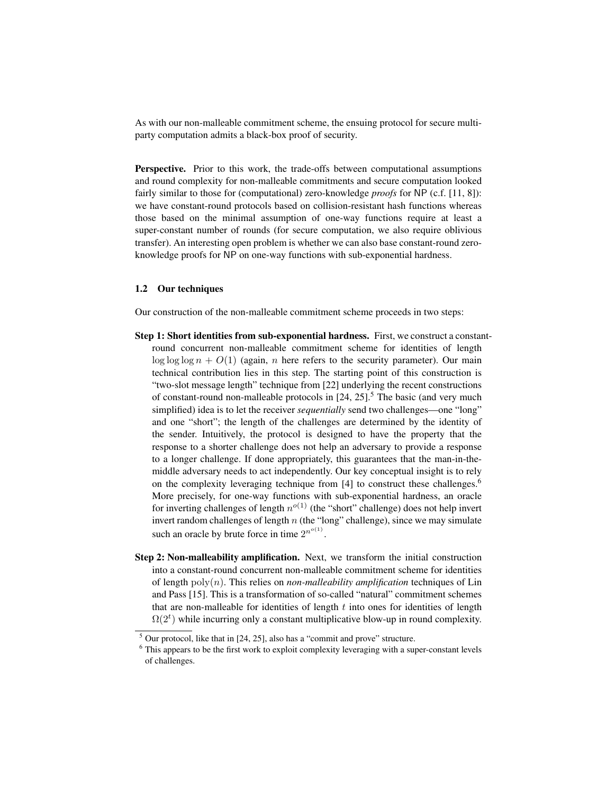As with our non-malleable commitment scheme, the ensuing protocol for secure multiparty computation admits a black-box proof of security.

Perspective. Prior to this work, the trade-offs between computational assumptions and round complexity for non-malleable commitments and secure computation looked fairly similar to those for (computational) zero-knowledge *proofs* for NP (c.f. [11, 8]): we have constant-round protocols based on collision-resistant hash functions whereas those based on the minimal assumption of one-way functions require at least a super-constant number of rounds (for secure computation, we also require oblivious transfer). An interesting open problem is whether we can also base constant-round zeroknowledge proofs for NP on one-way functions with sub-exponential hardness.

#### 1.2 Our techniques

Our construction of the non-malleable commitment scheme proceeds in two steps:

- Step 1: Short identities from sub-exponential hardness. First, we construct a constantround concurrent non-malleable commitment scheme for identities of length  $\log \log \log n + O(1)$  (again, *n* here refers to the security parameter). Our main technical contribution lies in this step. The starting point of this construction is "two-slot message length" technique from [22] underlying the recent constructions of constant-round non-malleable protocols in  $[24, 25]$ <sup>5</sup>. The basic (and very much simplified) idea is to let the receiver *sequentially* send two challenges—one "long" and one "short"; the length of the challenges are determined by the identity of the sender. Intuitively, the protocol is designed to have the property that the response to a shorter challenge does not help an adversary to provide a response to a longer challenge. If done appropriately, this guarantees that the man-in-themiddle adversary needs to act independently. Our key conceptual insight is to rely on the complexity leveraging technique from [4] to construct these challenges.<sup>6</sup> More precisely, for one-way functions with sub-exponential hardness, an oracle for inverting challenges of length  $n^{o(1)}$  (the "short" challenge) does not help invert invert random challenges of length  $n$  (the "long" challenge), since we may simulate such an oracle by brute force in time  $2^{n^{o(1)}}$ .
- Step 2: Non-malleability amplification. Next, we transform the initial construction into a constant-round concurrent non-malleable commitment scheme for identities of length poly(n). This relies on *non-malleability amplification* techniques of Lin and Pass [15]. This is a transformation of so-called "natural" commitment schemes that are non-malleable for identities of length  $t$  into ones for identities of length  $\Omega(2^t)$  while incurring only a constant multiplicative blow-up in round complexity.

 $5$  Our protocol, like that in [24, 25], also has a "commit and prove" structure.

<sup>&</sup>lt;sup>6</sup> This appears to be the first work to exploit complexity leveraging with a super-constant levels of challenges.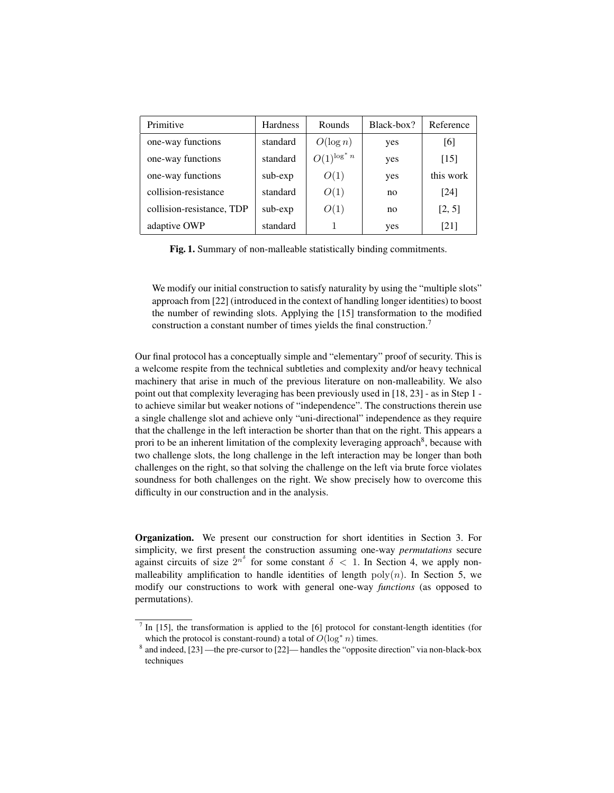| Primitive                 | <b>Hardness</b> | Rounds            | Black-box? | Reference |
|---------------------------|-----------------|-------------------|------------|-----------|
| one-way functions         | standard        | $O(\log n)$       | yes        | [6]       |
| one-way functions         | standard        | $O(1)^{\log^* n}$ | yes        | [15]      |
| one-way functions         | sub-exp         | O(1)              | yes        | this work |
| collision-resistance      | standard        | O(1)              | no         | [24]      |
| collision-resistance, TDP | sub-exp         | O(1)              | no         | [2, 5]    |
| adaptive OWP              | standard        |                   | yes        | [21]      |

Fig. 1. Summary of non-malleable statistically binding commitments.

We modify our initial construction to satisfy naturality by using the "multiple slots" approach from [22] (introduced in the context of handling longer identities) to boost the number of rewinding slots. Applying the [15] transformation to the modified construction a constant number of times yields the final construction.<sup>7</sup>

Our final protocol has a conceptually simple and "elementary" proof of security. This is a welcome respite from the technical subtleties and complexity and/or heavy technical machinery that arise in much of the previous literature on non-malleability. We also point out that complexity leveraging has been previously used in [18, 23] - as in Step 1 to achieve similar but weaker notions of "independence". The constructions therein use a single challenge slot and achieve only "uni-directional" independence as they require that the challenge in the left interaction be shorter than that on the right. This appears a prori to be an inherent limitation of the complexity leveraging approach<sup>8</sup>, because with two challenge slots, the long challenge in the left interaction may be longer than both challenges on the right, so that solving the challenge on the left via brute force violates soundness for both challenges on the right. We show precisely how to overcome this difficulty in our construction and in the analysis.

Organization. We present our construction for short identities in Section 3. For simplicity, we first present the construction assuming one-way *permutations* secure against circuits of size  $2^{n^{\delta}}$  for some constant  $\delta$  < 1. In Section 4, we apply nonmalleability amplification to handle identities of length  $poly(n)$ . In Section 5, we modify our constructions to work with general one-way *functions* (as opposed to permutations).

 $<sup>7</sup>$  In [15], the transformation is applied to the [6] protocol for constant-length identities (for</sup> which the protocol is constant-round) a total of  $O(\log^* n)$  times.

 $8$  and indeed, [23] —the pre-cursor to [22]— handles the "opposite direction" via non-black-box techniques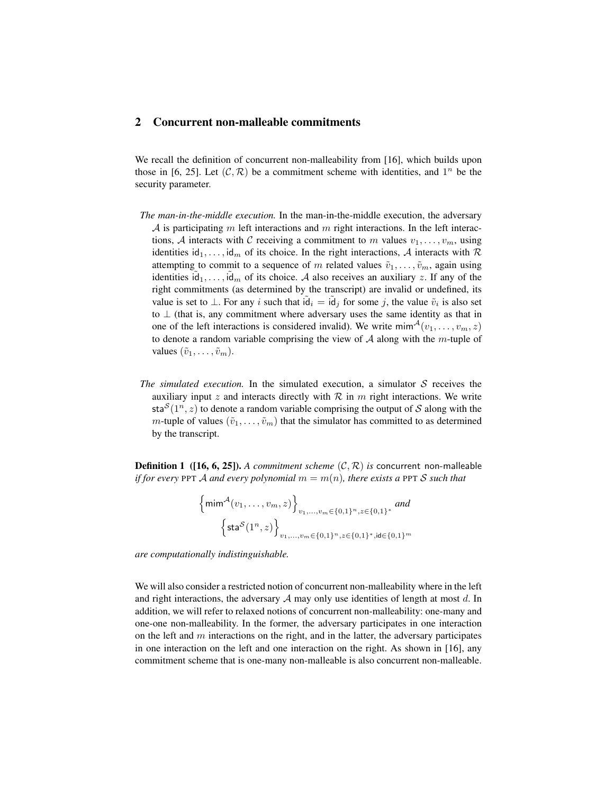# 2 Concurrent non-malleable commitments

We recall the definition of concurrent non-malleability from [16], which builds upon those in [6, 25]. Let  $(C, \mathcal{R})$  be a commitment scheme with identities, and  $1^n$  be the security parameter.

- *The man-in-the-middle execution.* In the man-in-the-middle execution, the adversary A is participating  $m$  left interactions and  $m$  right interactions. In the left interactions, A interacts with C receiving a commitment to m values  $v_1, \ldots, v_m$ , using identities  $id_1, \ldots, id_m$  of its choice. In the right interactions, A interacts with R attempting to commit to a sequence of m related values  $\tilde{v}_1, \ldots, \tilde{v}_m$ , again using identities  $\tilde{id}_1, \ldots, \tilde{id}_m$  of its choice. A also receives an auxiliary z. If any of the right commitments (as determined by the transcript) are invalid or undefined, its value is set to  $\bot$ . For any i such that  $\tilde{d}_i = \tilde{d}_j$  for some j, the value  $\tilde{v}_i$  is also set to ⊥ (that is, any commitment where adversary uses the same identity as that in one of the left interactions is considered invalid). We write  $\min^{\mathcal{A}}(v_1, \ldots, v_m, z)$ to denote a random variable comprising the view of  $A$  along with the  $m$ -tuple of values  $(\tilde{v}_1, \ldots, \tilde{v}_m)$ .
- *The simulated execution.* In the simulated execution, a simulator  $S$  receives the auxiliary input z and interacts directly with  $R$  in  $m$  right interactions. We write sta<sup>S</sup> $(1^n, z)$  to denote a random variable comprising the output of S along with the *m*-tuple of values  $(\tilde{v}_1, \ldots, \tilde{v}_m)$  that the simulator has committed to as determined by the transcript.

Definition 1 ([16, 6, 25]). *A commitment scheme* (C, R) *is* concurrent non-malleable *if for every* PPT A *and every polynomial*  $m = m(n)$ *, there exists a* PPT S *such that* 

$$
\left\{\min^{\mathcal{A}}(v_1,\ldots,v_m,z)\right\}_{v_1,\ldots,v_m\in\{0,1\}^n,z\in\{0,1\}^*} and
$$

$$
\left\{\text{sta}^{\mathcal{S}}(1^n,z)\right\}_{v_1,\ldots,v_m\in\{0,1\}^n,z\in\{0,1\}^*,i\in\{0,1\}^m}
$$

*are computationally indistinguishable.*

We will also consider a restricted notion of concurrent non-malleability where in the left and right interactions, the adversary  $A$  may only use identities of length at most  $d$ . In addition, we will refer to relaxed notions of concurrent non-malleability: one-many and one-one non-malleability. In the former, the adversary participates in one interaction on the left and  $m$  interactions on the right, and in the latter, the adversary participates in one interaction on the left and one interaction on the right. As shown in [16], any commitment scheme that is one-many non-malleable is also concurrent non-malleable.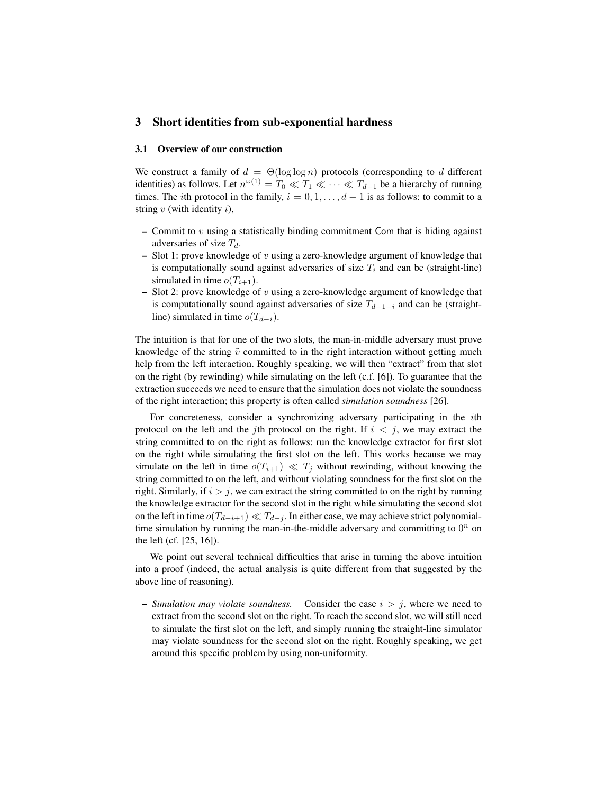# 3 Short identities from sub-exponential hardness

## 3.1 Overview of our construction

We construct a family of  $d = \Theta(\log \log n)$  protocols (corresponding to d different identities) as follows. Let  $n^{\omega(1)} = T_0 \ll T_1 \ll \cdots \ll T_{d-1}$  be a hierarchy of running times. The *i*th protocol in the family,  $i = 0, 1, \ldots, d - 1$  is as follows: to commit to a string  $v$  (with identity  $i$ ),

- Commit to  $v$  using a statistically binding commitment Com that is hiding against adversaries of size  $T_d$ .
- Slot 1: prove knowledge of v using a zero-knowledge argument of knowledge that is computationally sound against adversaries of size  $T_i$  and can be (straight-line) simulated in time  $o(T_{i+1})$ .
- $-$  Slot 2: prove knowledge of v using a zero-knowledge argument of knowledge that is computationally sound against adversaries of size  $T_{d-1-i}$  and can be (straightline) simulated in time  $o(T_{d-i})$ .

The intuition is that for one of the two slots, the man-in-middle adversary must prove knowledge of the string  $\tilde{v}$  committed to in the right interaction without getting much help from the left interaction. Roughly speaking, we will then "extract" from that slot on the right (by rewinding) while simulating on the left  $(c.f. [6])$ . To guarantee that the extraction succeeds we need to ensure that the simulation does not violate the soundness of the right interaction; this property is often called *simulation soundness* [26].

For concreteness, consider a synchronizing adversary participating in the ith protocol on the left and the jth protocol on the right. If  $i < j$ , we may extract the string committed to on the right as follows: run the knowledge extractor for first slot on the right while simulating the first slot on the left. This works because we may simulate on the left in time  $o(T_{i+1}) \ll T_j$  without rewinding, without knowing the string committed to on the left, and without violating soundness for the first slot on the right. Similarly, if  $i > j$ , we can extract the string committed to on the right by running the knowledge extractor for the second slot in the right while simulating the second slot on the left in time  $o(T_{d-i+1}) \ll T_{d-j}$ . In either case, we may achieve strict polynomialtime simulation by running the man-in-the-middle adversary and committing to  $0^n$  on the left (cf. [25, 16]).

We point out several technical difficulties that arise in turning the above intuition into a proof (indeed, the actual analysis is quite different from that suggested by the above line of reasoning).

– *Simulation may violate soundness.* Consider the case  $i > j$ , where we need to extract from the second slot on the right. To reach the second slot, we will still need to simulate the first slot on the left, and simply running the straight-line simulator may violate soundness for the second slot on the right. Roughly speaking, we get around this specific problem by using non-uniformity.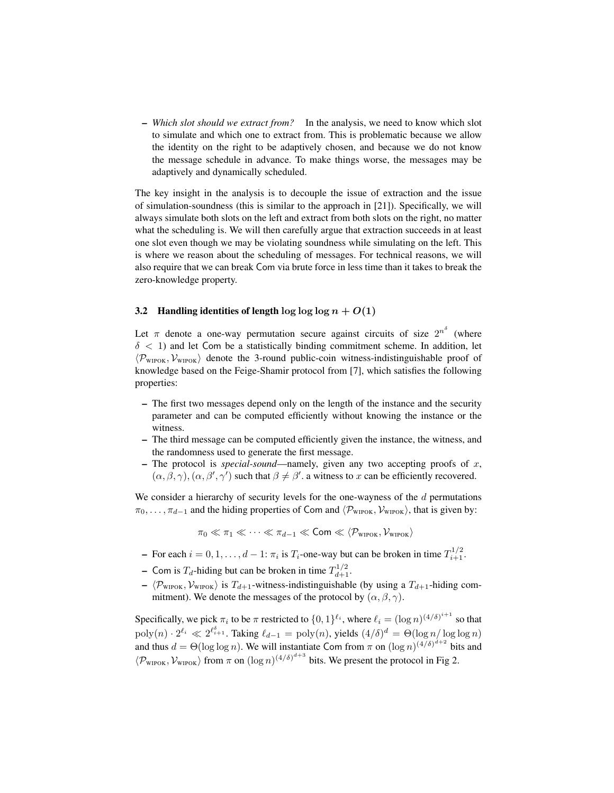– *Which slot should we extract from?* In the analysis, we need to know which slot to simulate and which one to extract from. This is problematic because we allow the identity on the right to be adaptively chosen, and because we do not know the message schedule in advance. To make things worse, the messages may be adaptively and dynamically scheduled.

The key insight in the analysis is to decouple the issue of extraction and the issue of simulation-soundness (this is similar to the approach in [21]). Specifically, we will always simulate both slots on the left and extract from both slots on the right, no matter what the scheduling is. We will then carefully argue that extraction succeeds in at least one slot even though we may be violating soundness while simulating on the left. This is where we reason about the scheduling of messages. For technical reasons, we will also require that we can break Com via brute force in less time than it takes to break the zero-knowledge property.

#### 3.2 Handling identities of length  $\log \log \log n + O(1)$

Let  $\pi$  denote a one-way permutation secure against circuits of size  $2^{n^{\delta}}$  (where  $\delta$  < 1) and let Com be a statistically binding commitment scheme. In addition, let  $\langle \mathcal{P}_{\text{WIPOK}}, \mathcal{V}_{\text{WIPOK}} \rangle$  denote the 3-round public-coin witness-indistinguishable proof of knowledge based on the Feige-Shamir protocol from [7], which satisfies the following properties:

- The first two messages depend only on the length of the instance and the security parameter and can be computed efficiently without knowing the instance or the witness.
- The third message can be computed efficiently given the instance, the witness, and the randomness used to generate the first message.
- $-$  The protocol is *special-sound*—namely, given any two accepting proofs of  $x$ ,  $(\alpha, \beta, \gamma), (\alpha, \beta', \gamma')$  such that  $\beta \neq \beta'$ . a witness to x can be efficiently recovered.

We consider a hierarchy of security levels for the one-wayness of the  $d$  permutations  $\pi_0, \ldots, \pi_{d-1}$  and the hiding properties of Com and  $\langle \mathcal{P}_{\text{WIPOK}}, \mathcal{V}_{\text{WIPOK}} \rangle$ , that is given by:

$$
\pi_0 \ll \pi_1 \ll \cdots \ll \pi_{d-1} \ll \mathsf{Com} \ll \langle \mathcal{P}_{\text{wipok}}, \mathcal{V}_{\text{wipok}} \rangle
$$

- For each  $i = 0, 1, ..., d 1$ :  $\pi_i$  is  $T_i$ -one-way but can be broken in time  $T_{i+1}^{1/2}$ .
- Com is  $T_d$ -hiding but can be broken in time  $T_{d+1}^{1/2}$ .
- $\langle \mathcal{P}_{\text{WIPOK}}, \mathcal{V}_{\text{WIPOK}} \rangle$  is  $T_{d+1}$ -witness-indistinguishable (by using a  $T_{d+1}$ -hiding commitment). We denote the messages of the protocol by  $(\alpha, \beta, \gamma)$ .

Specifically, we pick  $\pi_i$  to be  $\pi$  restricted to  $\{0, 1\}^{\ell_i}$ , where  $\ell_i = (\log n)^{(4/\delta)^{i+1}}$  so that  $poly(n) \cdot 2^{\ell_i} \ll 2^{\ell_{i+1}^{\delta}}$ . Taking  $\ell_{d-1} = poly(n)$ , yields  $(4/\delta)^d = \Theta(\log n / \log \log n)$ and thus  $d = \Theta(\log \log n)$ . We will instantiate Com from  $\pi$  on  $(\log n)^{(4/\delta)^{d+2}}$  bits and  $\langle P_{\text{WIPOK}}, V_{\text{WIPOK}} \rangle$  from  $\pi$  on  $(\log n)^{(4/\delta)^{d+3}}$  bits. We present the protocol in Fig 2.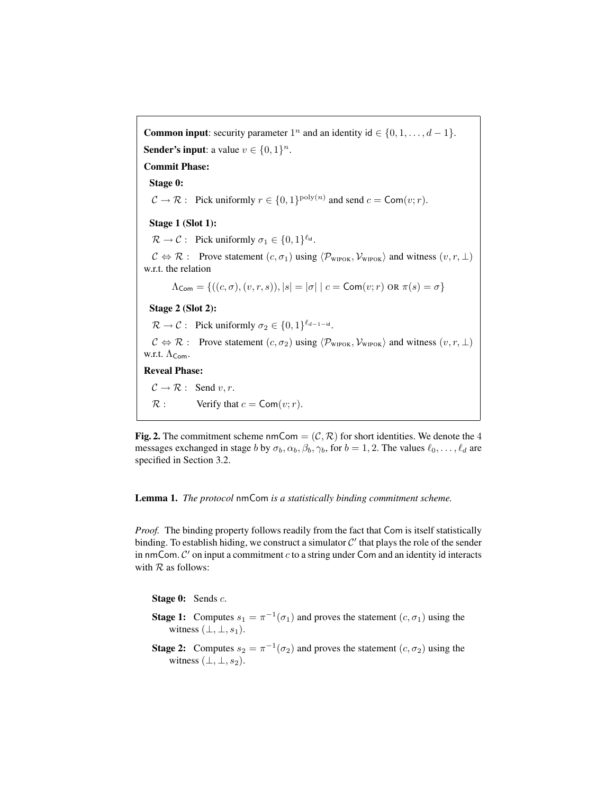**Common input:** security parameter  $1^n$  and an identity id  $\in \{0, 1, \ldots, d-1\}$ . **Sender's input:** a value  $v \in \{0, 1\}^n$ . Commit Phase: Stage 0:  $C \to \mathcal{R}$ : Pick uniformly  $r \in \{0, 1\}^{\text{poly}(n)}$  and send  $c = \text{Com}(v; r)$ . Stage 1 (Slot 1):  $\mathcal{R} \to \mathcal{C}$ : Pick uniformly  $\sigma_1 \in \{0, 1\}^{\ell_{\sf id}}$ .  $\mathcal{C} \Leftrightarrow \mathcal{R}$  : Prove statement  $(c, \sigma_1)$  using  $\langle \mathcal{P}_{WIPOK}, \mathcal{V}_{WIPOK} \rangle$  and witness  $(v, r, \perp)$ w.r.t. the relation  $\Lambda_{\text{Com}} = \{((c, \sigma), (v, r, s)), |s| = |\sigma| \mid c = \text{Com}(v; r) \text{ or } \pi(s) = \sigma\}$ Stage 2 (Slot 2):  $\mathcal{R} \to \mathcal{C}$ : Pick uniformly  $\sigma_2 \in \{0,1\}^{\ell_{d-1-\text{id}}}.$  $\mathcal{C} \Leftrightarrow \mathcal{R}$  : Prove statement  $(c, \sigma_2)$  using  $\langle \mathcal{P}_{WIPOK}, \mathcal{V}_{WIPOK} \rangle$  and witness  $(v, r, \perp)$ w.r.t.  $\Lambda_{\mathsf{Com}}$ . Reveal Phase:  $C \rightarrow \mathcal{R}$ : Send  $v, r$ .  $\mathcal{R}$ : Verify that  $c = \text{Com}(v; r)$ .

Fig. 2. The commitment scheme nmCom =  $(C, \mathcal{R})$  for short identities. We denote the 4 messages exchanged in stage b by  $\sigma_b$ ,  $\alpha_b$ ,  $\beta_b$ ,  $\gamma_b$ , for  $b = 1, 2$ . The values  $\ell_0, \ldots, \ell_d$  are specified in Section 3.2.

Lemma 1. *The protocol* nmCom *is a statistically binding commitment scheme.*

*Proof.* The binding property follows readily from the fact that Com is itself statistically binding. To establish hiding, we construct a simulator  $\mathcal{C}'$  that plays the role of the sender in nmCom.  $\mathcal{C}'$  on input a commitment  $c$  to a string under Com and an identity id interacts with  $R$  as follows:

Stage 0: Sends c.

- **Stage 1:** Computes  $s_1 = \pi^{-1}(\sigma_1)$  and proves the statement  $(c, \sigma_1)$  using the witness  $(\perp, \perp, s_1)$ .
- **Stage 2:** Computes  $s_2 = \pi^{-1}(\sigma_2)$  and proves the statement  $(c, \sigma_2)$  using the witness  $(\perp, \perp, s_2)$ .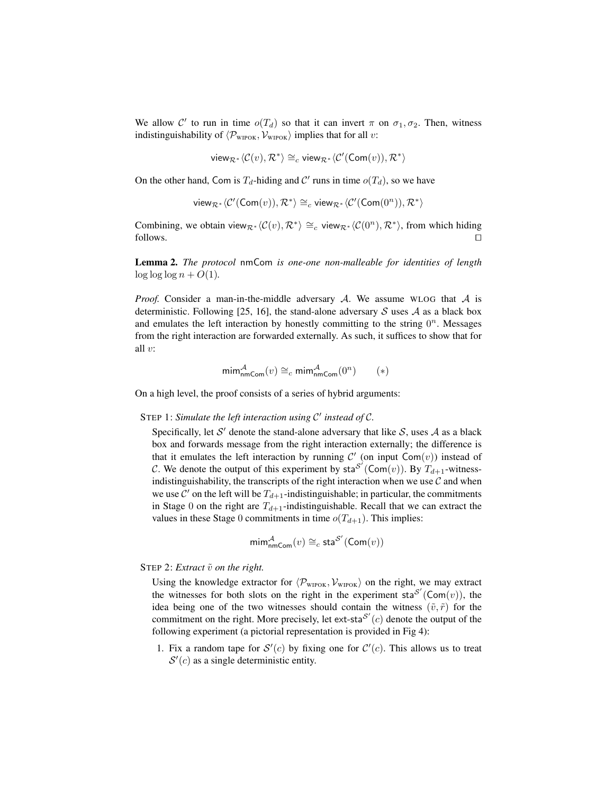We allow C' to run in time  $o(T_d)$  so that it can invert  $\pi$  on  $\sigma_1, \sigma_2$ . Then, witness indistinguishability of  $\langle \mathcal{P}_{\text{WIPOK}}, \mathcal{V}_{\text{WIPOK}} \rangle$  implies that for all v:

$$
\mathsf{view}_{\mathcal{R}^*}\langle \mathcal{C}(v), \mathcal{R}^* \rangle \cong_c \mathsf{view}_{\mathcal{R}^*}\langle \mathcal{C}'(\mathsf{Com}(v)), \mathcal{R}^* \rangle
$$

On the other hand, Com is  $T_d$ -hiding and C' runs in time  $o(T_d)$ , so we have

$$
\mathsf{view}_{\mathcal{R}^*}\langle \mathcal{C}'(\mathsf{Com}(v)), \mathcal{R}^*\rangle \cong_c \mathsf{view}_{\mathcal{R}^*}\langle \mathcal{C}'(\mathsf{Com}(0^n)), \mathcal{R}^*\rangle
$$

Combining, we obtain view $\mathcal{R}^* \langle C(v), \mathcal{R}^* \rangle \cong_c v_i$ iew $\mathcal{R}^* \langle C(0^n), \mathcal{R}^* \rangle$ , from which hiding  $\Box$  follows.

Lemma 2. *The protocol* nmCom *is one-one non-malleable for identities of length*  $\log \log \log n + O(1)$ .

*Proof.* Consider a man-in-the-middle adversary A. We assume WLOG that A is deterministic. Following [25, 16], the stand-alone adversary S uses A as a black box and emulates the left interaction by honestly committing to the string  $0^n$ . Messages from the right interaction are forwarded externally. As such, it suffices to show that for all v:

$$
\text{mim}_{\text{nmCom}}^{\mathcal{A}}(v) \cong_c \text{mim}_{\text{nmCom}}^{\mathcal{A}}(0^n) \qquad (*)
$$

On a high level, the proof consists of a series of hybrid arguments:

## STEP 1: Simulate the left interaction using  $\mathcal{C}'$  instead of  $\mathcal{C}$ *.*

Specifically, let  $S'$  denote the stand-alone adversary that like  $S$ , uses  $A$  as a black box and forwards message from the right interaction externally; the difference is that it emulates the left interaction by running  $\mathcal{C}'$  (on input  $\mathsf{Com}(v)$ ) instead of C. We denote the output of this experiment by sta<sup>S'</sup>(Com(v)). By  $T_{d+1}$ -witnessindistinguishability, the transcripts of the right interaction when we use  $C$  and when we use  $\mathcal{C}'$  on the left will be  $T_{d+1}$ -indistinguishable; in particular, the commitments in Stage 0 on the right are  $T_{d+1}$ -indistinguishable. Recall that we can extract the values in these Stage 0 commitments in time  $o(T_{d+1})$ . This implies:

$$
\text{mim}^{\mathcal{A}}_{\text{nmCom}}(v) \cong_c \text{sta}^{\mathcal{S}'}(\textsf{Com}(v))
$$

STEP 2: *Extract*  $\tilde{v}$  *on the right.* 

Using the knowledge extractor for  $\langle \mathcal{P}_{WIPOK}, \mathcal{V}_{WIPOK} \rangle$  on the right, we may extract the witnesses for both slots on the right in the experiment  $\text{sta}^{S'}(\text{Com}(v))$ , the idea being one of the two witnesses should contain the witness  $(\tilde{v}, \tilde{r})$  for the commitment on the right. More precisely, let ext-sta<sup>S'</sup>(c) denote the output of the following experiment (a pictorial representation is provided in Fig 4):

1. Fix a random tape for  $\mathcal{S}'(c)$  by fixing one for  $\mathcal{C}'(c)$ . This allows us to treat  $\mathcal{S}'(c)$  as a single deterministic entity.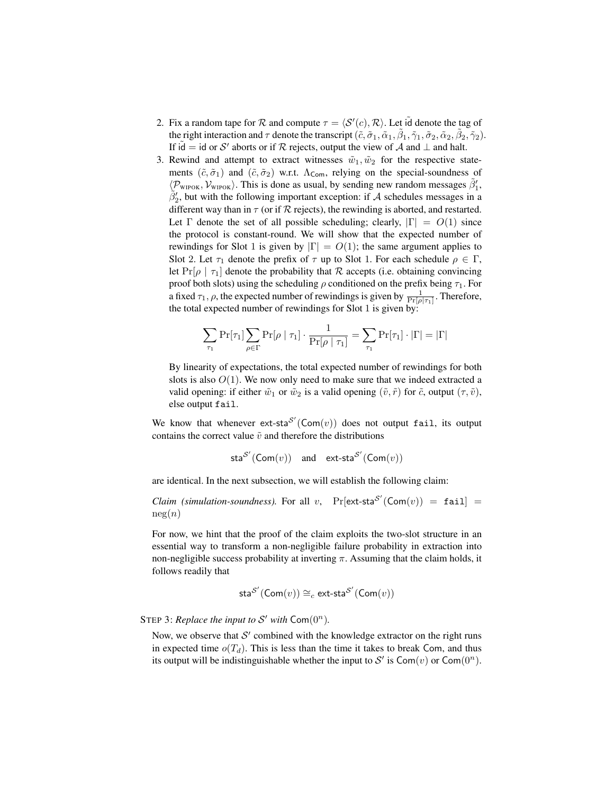- 2. Fix a random tape for R and compute  $\tau = \langle S'(c), \mathcal{R} \rangle$ . Let  $\tilde{d}$  denote the tag of the right interaction and  $\tau$  denote the transcript  $(\tilde{c}, \tilde{\sigma}_1, \tilde{\alpha}_1, \tilde{\beta}_1, \tilde{\gamma}_1, \tilde{\sigma}_2, \tilde{\alpha}_2, \tilde{\beta}_2, \tilde{\gamma}_2)$ . If  $\tilde{\mathfrak{id}} = \mathfrak{id}$  or  $\mathcal{S}'$  aborts or if  $\mathcal R$  rejects, output the view of  $\mathcal A$  and  $\perp$  and halt.
- 3. Rewind and attempt to extract witnesses  $\tilde{w}_1, \tilde{w}_2$  for the respective statements  $(\tilde{c}, \tilde{\sigma}_1)$  and  $(\tilde{c}, \tilde{\sigma}_2)$  w.r.t.  $\Lambda_{\text{Com}}$ , relying on the special-soundness of  $\langle \mathcal{P}_{\text{WIPOK}}, \mathcal{V}_{\text{WIPOK}} \rangle$ . This is done as usual, by sending new random messages  $\tilde{\beta}'_1$ ,  $\tilde{\beta}'_2$ , but with the following important exception: if A schedules messages in a different way than in  $\tau$  (or if  $\mathcal R$  rejects), the rewinding is aborted, and restarted. Let  $\Gamma$  denote the set of all possible scheduling; clearly,  $|\Gamma| = O(1)$  since the protocol is constant-round. We will show that the expected number of rewindings for Slot 1 is given by  $|\Gamma| = O(1)$ ; the same argument applies to Slot 2. Let  $\tau_1$  denote the prefix of  $\tau$  up to Slot 1. For each schedule  $\rho \in \Gamma$ , let  $Pr[\rho | \tau_1]$  denote the probability that R accepts (i.e. obtaining convincing proof both slots) using the scheduling  $\rho$  conditioned on the prefix being  $\tau_1$ . For a fixed  $\tau_1$ ,  $\rho$ , the expected number of rewindings is given by  $\frac{1}{\Pr[\rho|\tau_1]}$ . Therefore, the total expected number of rewindings for Slot 1 is given by:

$$
\sum_{\tau_1} \Pr[\tau_1] \sum_{\rho \in \Gamma} \Pr[\rho \mid \tau_1] \cdot \frac{1}{\Pr[\rho \mid \tau_1]} = \sum_{\tau_1} \Pr[\tau_1] \cdot |\Gamma| = |\Gamma|
$$

By linearity of expectations, the total expected number of rewindings for both slots is also  $O(1)$ . We now only need to make sure that we indeed extracted a valid opening: if either  $\tilde{w}_1$  or  $\tilde{w}_2$  is a valid opening  $(\tilde{v}, \tilde{r})$  for  $\tilde{c}$ , output  $(\tau, \tilde{v})$ , else output fail.

We know that whenever ext-sta<sup>S'</sup>( $Com(v)$ ) does not output fail, its output contains the correct value  $\tilde{v}$  and therefore the distributions

$$
sta^{S'}(Com(v))
$$
 and  $ext-sta^{S'}(Com(v))$ 

are identical. In the next subsection, we will establish the following claim:

*Claim (simulation-soundness)*. For all  $v$ ,  $\Pr[\text{ext-sta}^{\mathcal{S}'}(\textsf{Com}(v)) = \texttt{fail}] =$  $neg(n)$ 

For now, we hint that the proof of the claim exploits the two-slot structure in an essential way to transform a non-negligible failure probability in extraction into non-negligible success probability at inverting  $\pi$ . Assuming that the claim holds, it follows readily that

$$
\mathsf{sta}^{\mathcal{S}'}(\mathsf{Com}(v)) \cong_c \mathsf{ext}\text{-}\mathsf{sta}^{\mathcal{S}'}(\mathsf{Com}(v))
$$

STEP 3: *Replace the input to S' with*  $Com(0^n)$ *.* 

Now, we observe that  $\mathcal{S}'$  combined with the knowledge extractor on the right runs in expected time  $o(T_d)$ . This is less than the time it takes to break Com, and thus its output will be indistinguishable whether the input to  $S'$  is  $\mathsf{Com}(v)$  or  $\mathsf{Com}(0^n)$ .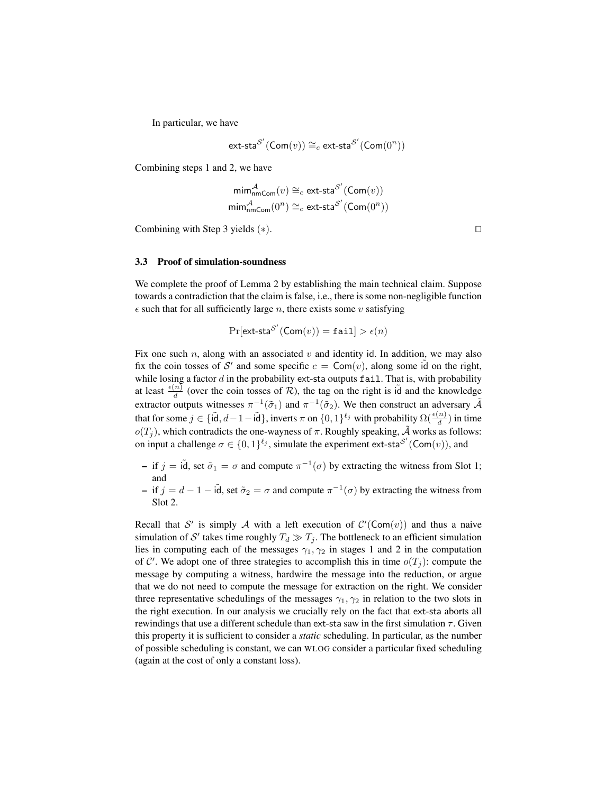In particular, we have

$$
\mathsf{ext}\text{-}\mathsf{sta}^{\mathcal{S}'}(\mathsf{Com}(v)) \cong_c \mathsf{ext}\text{-}\mathsf{sta}^{\mathcal{S}'}(\mathsf{Com}(0^n))
$$

Combining steps 1 and 2, we have

$$
\begin{aligned} \mathsf{mim}^{\mathcal{A}}_{\mathsf{nmCom}}(v) &\cong_c \mathsf{ext\text{-}sta}^{\mathcal{S}'}(\mathsf{Com}(v)) \\ \mathsf{mim}^{\mathcal{A}}_{\mathsf{nmCom}}(0^n) &\cong_c \mathsf{ext\text{-}sta}^{\mathcal{S}'}(\mathsf{Com}(0^n)) \end{aligned}
$$

Combining with Step 3 yields  $(*)$ .

#### 3.3 Proof of simulation-soundness

We complete the proof of Lemma 2 by establishing the main technical claim. Suppose towards a contradiction that the claim is false, i.e., there is some non-negligible function  $\epsilon$  such that for all sufficiently large n, there exists some v satisfying

$$
\Pr[\mathsf{ext\text{-}sta}^{\mathcal{S}'}(\mathsf{Com}(v)) = \mathtt{fail}] > \epsilon(n)
$$

Fix one such  $n$ , along with an associated  $v$  and identity id. In addition, we may also fix the coin tosses of S' and some specific  $c = \text{Com}(v)$ , along some  $\tilde{d}$  on the right, while losing a factor  $d$  in the probability ext-sta outputs  $\texttt{fail}.$  That is, with probability at least  $\frac{\epsilon(n)}{d}$  (over the coin tosses of  $\mathcal{R}$ ), the tag on the right is id and the knowledge extractor outputs witnesses  $\pi^{-1}(\tilde{\sigma}_1)$  and  $\pi^{-1}(\tilde{\sigma}_2)$ . We then construct an adversary  $\tilde{\mathcal{A}}$ that for some  $j \in \{\tilde{id}, d-1-\tilde{id}\},$  inverts  $\pi$  on  $\{0,1\}^{\ell_j}$  with probability  $\Omega(\frac{\epsilon(n)}{d})$  in time  $o(T_i)$ , which contradicts the one-wayness of  $\pi$ . Roughly speaking,  $\tilde{A}$  works as follows: on input a challenge  $\sigma \in \{0,1\}^{\ell_j}$ , simulate the experiment ext-sta<sup>S'</sup> (Com $(v)$ ), and

- if  $j = \tilde{d}$ , set  $\tilde{\sigma}_1 = \sigma$  and compute  $\pi^{-1}(\sigma)$  by extracting the witness from Slot 1; and
- $-$  if  $j = d 1 i\tilde{d}$ , set  $\tilde{\sigma}_2 = \sigma$  and compute  $\pi^{-1}(\sigma)$  by extracting the witness from Slot 2.

Recall that S' is simply A with a left execution of  $C'(\text{Com}(v))$  and thus a naive simulation of S' takes time roughly  $T_d \gg T_j$ . The bottleneck to an efficient simulation lies in computing each of the messages  $\gamma_1, \gamma_2$  in stages 1 and 2 in the computation of C'. We adopt one of three strategies to accomplish this in time  $o(T_j)$ : compute the message by computing a witness, hardwire the message into the reduction, or argue that we do not need to compute the message for extraction on the right. We consider three representative schedulings of the messages  $\gamma_1, \gamma_2$  in relation to the two slots in the right execution. In our analysis we crucially rely on the fact that ext-sta aborts all rewindings that use a different schedule than ext-sta saw in the first simulation  $\tau$ . Given this property it is sufficient to consider a *static* scheduling. In particular, as the number of possible scheduling is constant, we can WLOG consider a particular fixed scheduling (again at the cost of only a constant loss).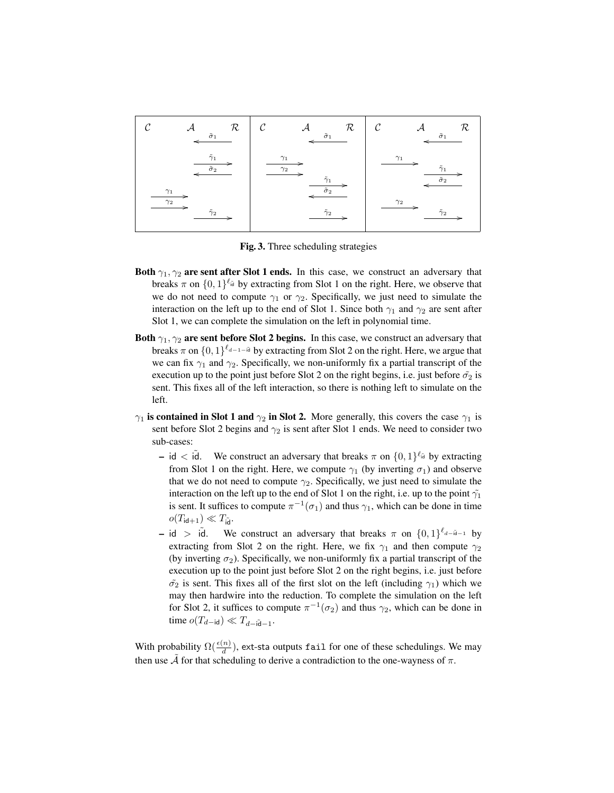| R<br>$\tilde{\sigma}$    | C<br>$\cal R$<br>$\tilde{\sigma}_1$          | $\mathcal{C}_{0}$<br>$\tilde{\sigma}$        |
|--------------------------|----------------------------------------------|----------------------------------------------|
| $\tilde{\sigma}$         | $\gamma_1$<br>$\gamma_2$<br>$\tilde{\sigma}$ | $\gamma_1$<br>$\gamma_1$<br>$\tilde{\sigma}$ |
| $\gamma_1$<br>$\gamma_2$ | ${ \gamma _2}$                               | $\gamma_2$<br>$\tilde{\gamma}_2$             |

Fig. 3. Three scheduling strategies

- Both  $\gamma_1, \gamma_2$  are sent after Slot 1 ends. In this case, we construct an adversary that breaks  $\pi$  on  $\{0,1\}^{\ell_{\tilde{t}d}}$  by extracting from Slot 1 on the right. Here, we observe that we do not need to compute  $\gamma_1$  or  $\gamma_2$ . Specifically, we just need to simulate the interaction on the left up to the end of Slot 1. Since both  $\gamma_1$  and  $\gamma_2$  are sent after Slot 1, we can complete the simulation on the left in polynomial time.
- Both  $\gamma_1, \gamma_2$  are sent before Slot 2 begins. In this case, we construct an adversary that breaks  $\pi$  on  $\{0,1\}^{\ell_{d-1-\tilde{u}}}$  by extracting from Slot 2 on the right. Here, we argue that we can fix  $\gamma_1$  and  $\gamma_2$ . Specifically, we non-uniformly fix a partial transcript of the execution up to the point just before Slot 2 on the right begins, i.e. just before  $\tilde{\sigma}_2$  is sent. This fixes all of the left interaction, so there is nothing left to simulate on the left.
- $\gamma_1$  is contained in Slot 1 and  $\gamma_2$  in Slot 2. More generally, this covers the case  $\gamma_1$  is sent before Slot 2 begins and  $\gamma_2$  is sent after Slot 1 ends. We need to consider two sub-cases:
	- id < id. We construct an adversary that breaks  $\pi$  on  $\{0,1\}^{\ell_{\tilde{u}}}$  by extracting from Slot 1 on the right. Here, we compute  $\gamma_1$  (by inverting  $\sigma_1$ ) and observe that we do not need to compute  $\gamma_2$ . Specifically, we just need to simulate the interaction on the left up to the end of Slot 1 on the right, i.e. up to the point  $\tilde{\gamma_1}$ is sent. It suffices to compute  $\pi^{-1}(\sigma_1)$  and thus  $\gamma_1$ , which can be done in time  $o(T_{\text{id}+1}) \ll T_{\tilde{\text{id}}}.$
	- $-$  id > id. We construct an adversary that breaks π on  $\{0, 1\}^{\ell_{d-\tilde{u}-1}}$  by extracting from Slot 2 on the right. Here, we fix  $\gamma_1$  and then compute  $\gamma_2$ (by inverting  $\sigma_2$ ). Specifically, we non-uniformly fix a partial transcript of the execution up to the point just before Slot 2 on the right begins, i.e. just before  $\tilde{\sigma}_2$  is sent. This fixes all of the first slot on the left (including  $\gamma_1$ ) which we may then hardwire into the reduction. To complete the simulation on the left for Slot 2, it suffices to compute  $\pi^{-1}(\sigma_2)$  and thus  $\gamma_2$ , which can be done in time  $o(T_{d-\text{id}}) \ll T_{d-\text{id}-1}$ .

With probability  $\Omega(\frac{\epsilon(n)}{d})$ , ext-sta outputs fail for one of these schedulings. We may then use  $\tilde{A}$  for that scheduling to derive a contradiction to the one-wayness of  $\pi$ .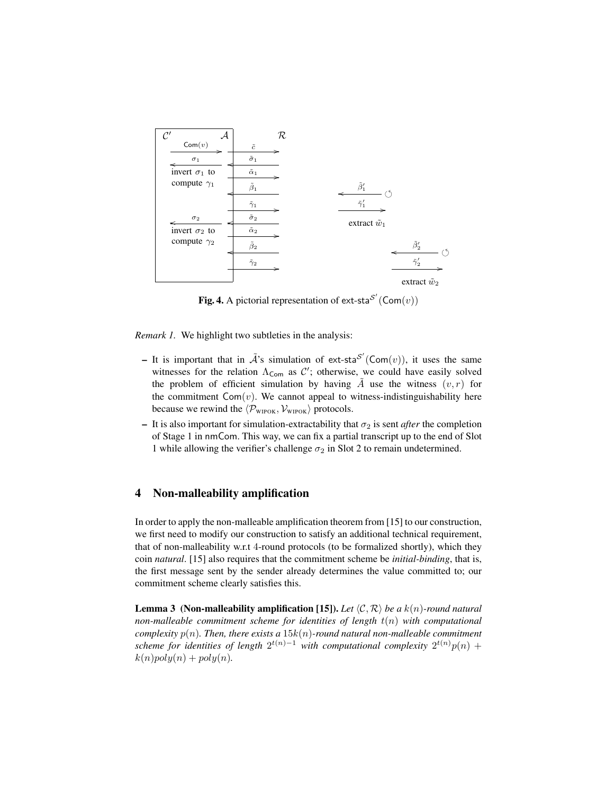

Fig. 4. A pictorial representation of ext-sta<sup>S'</sup> ( $\text{Com}(v)$ )

*Remark 1.* We highlight two subtleties in the analysis:

- It is important that in  $\tilde{A}$ 's simulation of ext-sta<sup>S'</sup> (Com $(v)$ ), it uses the same witnesses for the relation  $\Lambda_{\text{Com}}$  as C'; otherwise, we could have easily solved the problem of efficient simulation by having A use the witness  $(v, r)$  for the commitment  $Com(v)$ . We cannot appeal to witness-indistinguishability here because we rewind the  $\langle P_{\text{WIPOK}}, V_{\text{WIPOK}} \rangle$  protocols.
- It is also important for simulation-extractability that  $\sigma_2$  is sent *after* the completion of Stage 1 in nmCom. This way, we can fix a partial transcript up to the end of Slot 1 while allowing the verifier's challenge  $\sigma_2$  in Slot 2 to remain undetermined.

## 4 Non-malleability amplification

In order to apply the non-malleable amplification theorem from [15] to our construction, we first need to modify our construction to satisfy an additional technical requirement, that of non-malleability w.r.t 4-round protocols (to be formalized shortly), which they coin *natural*. [15] also requires that the commitment scheme be *initial-binding*, that is, the first message sent by the sender already determines the value committed to; our commitment scheme clearly satisfies this.

**Lemma 3** (Non-malleability amplification [15]). Let  $\langle C, \mathcal{R} \rangle$  be a k(n)-round natural *non-malleable commitment scheme for identities of length* t(n) *with computational complexity* p(n)*. Then, there exists a* 15k(n)*-round natural non-malleable commitment scheme for identities of length*  $2^{t(n)-1}$  *with computational complexity*  $2^{t(n)}p(n)$  +  $k(n)poly(n) + poly(n)$ .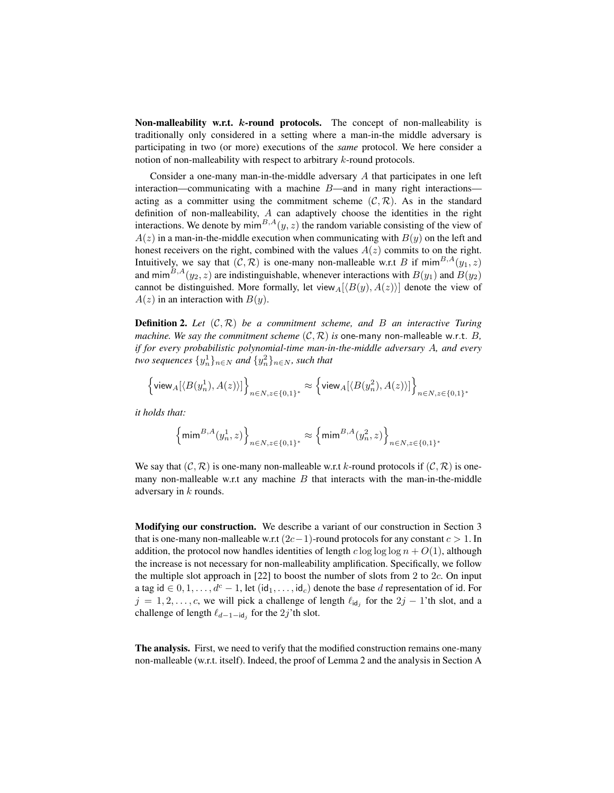Non-malleability w.r.t. k-round protocols. The concept of non-malleability is traditionally only considered in a setting where a man-in-the middle adversary is participating in two (or more) executions of the *same* protocol. We here consider a notion of non-malleability with respect to arbitrary k-round protocols.

Consider a one-many man-in-the-middle adversary A that participates in one left interaction—communicating with a machine  $B$ —and in many right interactionsacting as a committer using the commitment scheme  $(C, \mathcal{R})$ . As in the standard definition of non-malleability, A can adaptively choose the identities in the right interactions. We denote by mim<sup>B,A</sup>(y, z) the random variable consisting of the view of  $A(z)$  in a man-in-the-middle execution when communicating with  $B(y)$  on the left and honest receivers on the right, combined with the values  $A(z)$  commits to on the right. Intuitively, we say that  $(C, \mathcal{R})$  is one-many non-malleable w.r.t B if mim<sup>B,A</sup> $(y_1, z)$ and mim<sup>B,A</sup>( $y_2, z$ ) are indistinguishable, whenever interactions with  $B(y_1)$  and  $B(y_2)$ cannot be distinguished. More formally, let view  $_A[\langle B(y), A(z)\rangle]$  denote the view of  $A(z)$  in an interaction with  $B(y)$ .

Definition 2. *Let* (C, R) *be a commitment scheme, and* B *an interactive Turing machine. We say the commitment scheme*  $(C, \mathcal{R})$  *is* one-many non-malleable w.r.t. B, *if for every probabilistic polynomial-time man-in-the-middle adversary* A*, and every* two sequences  $\{y^1_n\}_{n\in N}$  and  $\{y^2_n\}_{n\in N}$ , such that

$$
\Big\{\mathrm{view}_A[\langle B(y_n^1),A(z)\rangle]\Big\}_{n\in N,z\in\{0,1\}^*}\approx \Big\{\mathrm{view}_A[\langle B(y_n^2),A(z)\rangle]\Big\}_{n\in N,z\in\{0,1\}^*}
$$

*it holds that:*

$$
\left\{ \text{mim}^{B,A}(y_{n}^{1},z) \right\}_{n \in N, z \in \{0,1\}^*} \approx \left\{ \text{mim}^{B,A}(y_{n}^{2},z) \right\}_{n \in N, z \in \{0,1\}^*}
$$

We say that  $(C, \mathcal{R})$  is one-many non-malleable w.r.t k-round protocols if  $(C, \mathcal{R})$  is onemany non-malleable w.r.t any machine  $B$  that interacts with the man-in-the-middle adversary in  $k$  rounds.

Modifying our construction. We describe a variant of our construction in Section 3 that is one-many non-malleable w.r.t  $(2c-1)$ -round protocols for any constant  $c > 1$ . In addition, the protocol now handles identities of length c log log log n +  $O(1)$ , although the increase is not necessary for non-malleability amplification. Specifically, we follow the multiple slot approach in  $[22]$  to boost the number of slots from 2 to 2c. On input a tag id  $\in$  0, 1, ...,  $d^c - 1$ , let  $(id_1, \ldots, id_c)$  denote the base d representation of id. For  $j = 1, 2, \ldots, c$ , we will pick a challenge of length  $\ell_{\mathsf{id}_j}$  for the  $2j - 1$ 'th slot, and a challenge of length  $\ell_{d-1-\text{id}_j}$  for the 2j'th slot.

The analysis. First, we need to verify that the modified construction remains one-many non-malleable (w.r.t. itself). Indeed, the proof of Lemma 2 and the analysis in Section A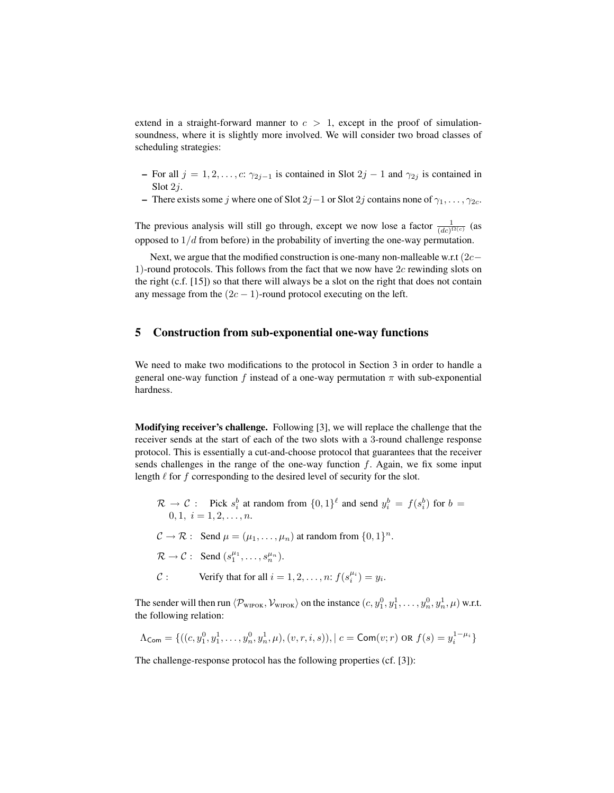extend in a straight-forward manner to  $c > 1$ , except in the proof of simulationsoundness, where it is slightly more involved. We will consider two broad classes of scheduling strategies:

- For all  $j = 1, 2, \ldots, c: \gamma_{2j-1}$  is contained in Slot  $2j 1$  and  $\gamma_{2j}$  is contained in Slot  $2i$ .
- There exists some j where one of Slot 2j–1 or Slot 2j contains none of  $\gamma_1, \ldots, \gamma_{2c}$ .

The previous analysis will still go through, except we now lose a factor  $\frac{1}{(dc)^{\Omega(c)}}$  (as opposed to  $1/d$  from before) in the probability of inverting the one-way permutation.

Next, we argue that the modified construction is one-many non-malleable w.r.t (2c− 1)-round protocols. This follows from the fact that we now have  $2c$  rewinding slots on the right (c.f. [15]) so that there will always be a slot on the right that does not contain any message from the  $(2c - 1)$ -round protocol executing on the left.

## 5 Construction from sub-exponential one-way functions

We need to make two modifications to the protocol in Section 3 in order to handle a general one-way function f instead of a one-way permutation  $\pi$  with sub-exponential hardness.

Modifying receiver's challenge. Following [3], we will replace the challenge that the receiver sends at the start of each of the two slots with a 3-round challenge response protocol. This is essentially a cut-and-choose protocol that guarantees that the receiver sends challenges in the range of the one-way function  $f$ . Again, we fix some input length  $\ell$  for  $f$  corresponding to the desired level of security for the slot.

- $\mathcal{R} \to \mathcal{C}$ : Pick  $s_i^b$  at random from  $\{0,1\}^{\ell}$  and send  $y_i^b = f(s_i^b)$  for  $b =$  $0, 1, i = 1, 2, \ldots, n.$
- $\mathcal{C} \to \mathcal{R}$  : Send  $\mu = (\mu_1, \dots, \mu_n)$  at random from  $\{0, 1\}^n$ .
- $\mathcal{R} \to \mathcal{C}$ : Send  $(s_1^{\mu_1}, \ldots, s_n^{\mu_n}).$
- C : Verify that for all  $i = 1, 2, ..., n$ :  $f(s_i^{\mu_i}) = y_i$ .

The sender will then run  $\langle \mathcal{P}_{\text{WIPOK}}, \mathcal{V}_{\text{WIPOK}} \rangle$  on the instance  $(c, y_1^0, y_1^1, \dots, y_n^0, y_n^1, \mu)$  w.r.t. the following relation:

$$
\Lambda_{\mathsf{Com}} = \{((c, y_1^0, y_1^1, \dots, y_n^0, y_n^1, \mu), (v, r, i, s)), | c = \mathsf{Com}(v; r) \text{ or } f(s) = y_i^{1-\mu_i}\}
$$

The challenge-response protocol has the following properties (cf. [3]):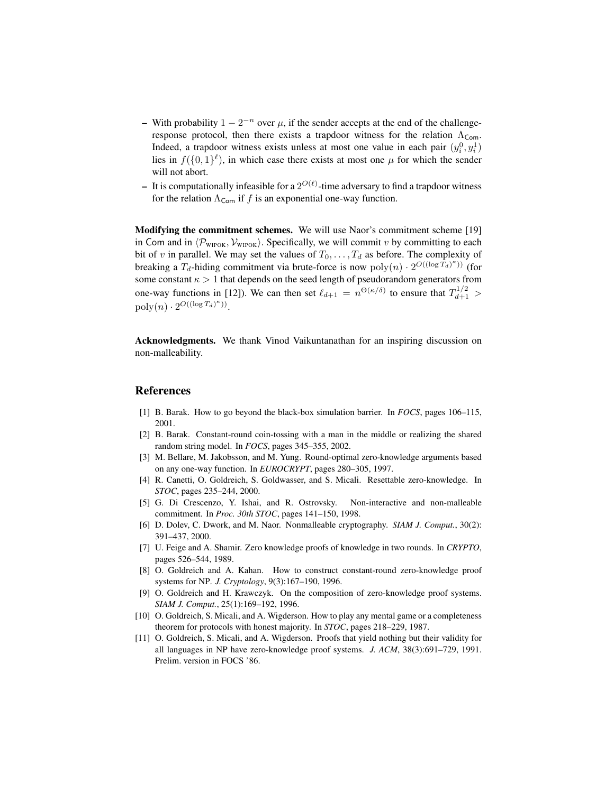- With probability  $1 2^{-n}$  over  $\mu$ , if the sender accepts at the end of the challengeresponse protocol, then there exists a trapdoor witness for the relation  $\Lambda_{\text{Com}}$ . Indeed, a trapdoor witness exists unless at most one value in each pair  $(y_i^0, y_i^1)$ lies in  $f(\{0,1\}^{\ell})$ , in which case there exists at most one  $\mu$  for which the sender will not abort.
- It is computationally infeasible for a  $2^{O(\ell)}$ -time adversary to find a trapdoor witness for the relation  $\Lambda_{\text{Com}}$  if f is an exponential one-way function.

Modifying the commitment schemes. We will use Naor's commitment scheme [19] in Com and in  $\langle \mathcal{P}_{\text{WIPOK}}, \mathcal{V}_{\text{WIPOK}} \rangle$ . Specifically, we will commit v by committing to each bit of v in parallel. We may set the values of  $T_0, \ldots, T_d$  as before. The complexity of breaking a  $T_d$ -hiding commitment via brute-force is now  $poly(n) \cdot 2^{O((\log T_d)^{\kappa}))}$  (for some constant  $\kappa > 1$  that depends on the seed length of pseudorandom generators from one-way functions in [12]). We can then set  $\ell_{d+1} = n^{\Theta(\kappa/\delta)}$  to ensure that  $T_{d+1}^{1/2}$  >  $\mathrm{poly}(n) \cdot 2^{O((\log T_d)^{\kappa}))}.$ 

Acknowledgments. We thank Vinod Vaikuntanathan for an inspiring discussion on non-malleability.

#### References

- [1] B. Barak. How to go beyond the black-box simulation barrier. In *FOCS*, pages 106–115, 2001.
- [2] B. Barak. Constant-round coin-tossing with a man in the middle or realizing the shared random string model. In *FOCS*, pages 345–355, 2002.
- [3] M. Bellare, M. Jakobsson, and M. Yung. Round-optimal zero-knowledge arguments based on any one-way function. In *EUROCRYPT*, pages 280–305, 1997.
- [4] R. Canetti, O. Goldreich, S. Goldwasser, and S. Micali. Resettable zero-knowledge. In *STOC*, pages 235–244, 2000.
- [5] G. Di Crescenzo, Y. Ishai, and R. Ostrovsky. Non-interactive and non-malleable commitment. In *Proc. 30th STOC*, pages 141–150, 1998.
- [6] D. Dolev, C. Dwork, and M. Naor. Nonmalleable cryptography. *SIAM J. Comput.*, 30(2): 391–437, 2000.
- [7] U. Feige and A. Shamir. Zero knowledge proofs of knowledge in two rounds. In *CRYPTO*, pages 526–544, 1989.
- [8] O. Goldreich and A. Kahan. How to construct constant-round zero-knowledge proof systems for NP. *J. Cryptology*, 9(3):167–190, 1996.
- [9] O. Goldreich and H. Krawczyk. On the composition of zero-knowledge proof systems. *SIAM J. Comput.*, 25(1):169–192, 1996.
- [10] O. Goldreich, S. Micali, and A. Wigderson. How to play any mental game or a completeness theorem for protocols with honest majority. In *STOC*, pages 218–229, 1987.
- [11] O. Goldreich, S. Micali, and A. Wigderson. Proofs that yield nothing but their validity for all languages in NP have zero-knowledge proof systems. *J. ACM*, 38(3):691–729, 1991. Prelim. version in FOCS '86.